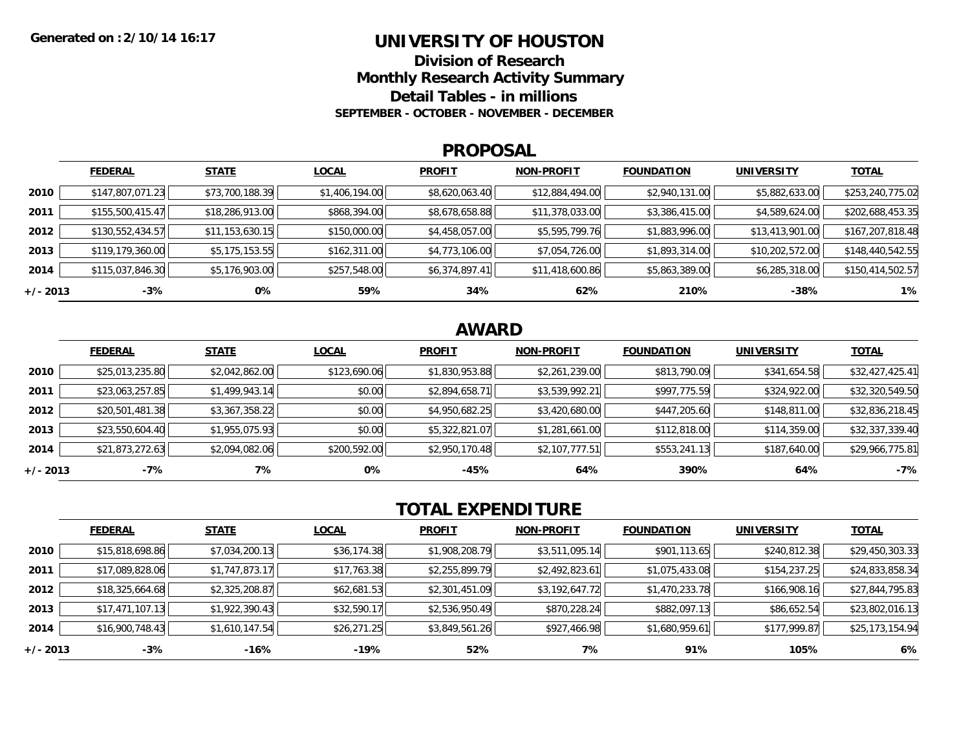### **UNIVERSITY OF HOUSTON**

**Division of ResearchMonthly Research Activity Summary**

**Detail Tables - in millions**

**SEPTEMBER - OCTOBER - NOVEMBER - DECEMBER**

#### **PROPOSAL**

|            | <b>FEDERAL</b>   | <b>STATE</b>    | <b>LOCAL</b>   | <b>PROFIT</b>  | <b>NON-PROFIT</b> | <b>FOUNDATION</b> | <b>UNIVERSITY</b> | <b>TOTAL</b>     |
|------------|------------------|-----------------|----------------|----------------|-------------------|-------------------|-------------------|------------------|
| 2010       | \$147,807,071.23 | \$73,700,188.39 | \$1,406,194.00 | \$8,620,063.40 | \$12,884,494.00   | \$2,940,131.00    | \$5,882,633.00    | \$253,240,775.02 |
| 2011       | \$155,500,415.47 | \$18,286,913.00 | \$868,394.00   | \$8,678,658.88 | \$11,378,033.00   | \$3,386,415.00    | \$4,589,624.00    | \$202,688,453.35 |
| 2012       | \$130,552,434.57 | \$11,153,630.15 | \$150,000.00   | \$4,458,057.00 | \$5,595,799.76    | \$1,883,996.00    | \$13,413,901.00   | \$167,207,818.48 |
| 2013       | \$119,179,360.00 | \$5,175,153.55  | \$162,311.00   | \$4,773,106.00 | \$7,054,726.00    | \$1,893,314.00    | \$10,202,572.00   | \$148,440,542.55 |
| 2014       | \$115,037,846.30 | \$5,176,903.00  | \$257,548.00   | \$6,374,897.41 | \$11,418,600.86   | \$5,863,389.00    | \$6,285,318.00    | \$150,414,502.57 |
| $+/- 2013$ | $-3%$            | 0%              | 59%            | 34%            | 62%               | 210%              | -38%              | 1%               |

## **AWARD**

|            | <b>FEDERAL</b>  | <b>STATE</b>   | <b>LOCAL</b> | <b>PROFIT</b>  | <b>NON-PROFIT</b> | <b>FOUNDATION</b> | <b>UNIVERSITY</b> | <b>TOTAL</b>    |
|------------|-----------------|----------------|--------------|----------------|-------------------|-------------------|-------------------|-----------------|
| 2010       | \$25,013,235.80 | \$2,042,862.00 | \$123,690.06 | \$1,830,953.88 | \$2,261,239.00    | \$813,790.09      | \$341,654.58      | \$32,427,425.41 |
| 2011       | \$23,063,257.85 | \$1,499,943.14 | \$0.00       | \$2,894,658.71 | \$3,539,992.21    | \$997,775.59      | \$324,922.00      | \$32,320,549.50 |
| 2012       | \$20,501,481.38 | \$3,367,358.22 | \$0.00       | \$4,950,682.25 | \$3,420,680.00    | \$447,205.60      | \$148,811.00      | \$32,836,218.45 |
| 2013       | \$23,550,604.40 | \$1,955,075.93 | \$0.00       | \$5,322,821.07 | \$1,281,661.00    | \$112,818.00      | \$114,359.00      | \$32,337,339.40 |
| 2014       | \$21,873,272.63 | \$2,094,082.06 | \$200,592.00 | \$2,950,170.48 | \$2,107,777.51    | \$553,241.13      | \$187,640.00      | \$29,966,775.81 |
| $+/- 2013$ | $-7%$           | 7%             | 0%           | $-45%$         | 64%               | 390%              | 64%               | $-7%$           |

# **TOTAL EXPENDITURE**

|          | <b>FEDERAL</b>  | <b>STATE</b>   | <b>LOCAL</b> | <b>PROFIT</b>  | <b>NON-PROFIT</b> | <b>FOUNDATION</b> | <b>UNIVERSITY</b> | <b>TOTAL</b>    |
|----------|-----------------|----------------|--------------|----------------|-------------------|-------------------|-------------------|-----------------|
| 2010     | \$15,818,698.86 | \$7,034,200.13 | \$36,174.38  | \$1,908,208.79 | \$3,511,095.14    | \$901,113.65      | \$240,812.38      | \$29,450,303.33 |
| 2011     | \$17,089,828.06 | \$1,747,873.17 | \$17,763.38  | \$2,255,899.79 | \$2,492,823.61    | \$1,075,433.08    | \$154,237.25      | \$24,833,858.34 |
| 2012     | \$18,325,664.68 | \$2,325,208.87 | \$62,681.53  | \$2,301,451.09 | \$3,192,647.72    | \$1,470,233.78    | \$166,908.16      | \$27,844,795.83 |
| 2013     | \$17,471,107.13 | \$1,922,390.43 | \$32,590.17  | \$2,536,950.49 | \$870,228.24      | \$882,097.13      | \$86,652.54       | \$23,802,016.13 |
| 2014     | \$16,900,748.43 | \$1,610,147.54 | \$26,271.25  | \$3,849,561.26 | \$927,466.98      | \$1,680,959.61    | \$177,999.87      | \$25,173,154.94 |
| +/- 2013 | $-3%$           | -16%           | -19%         | 52%            | 7%                | 91%               | 105%              | 6%              |